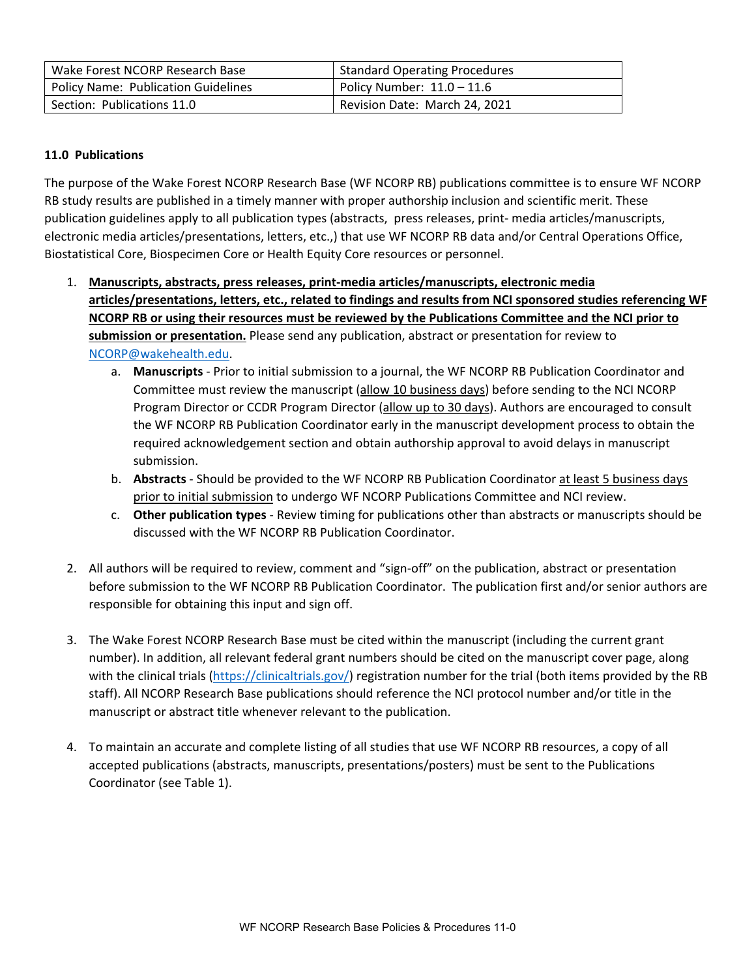| Wake Forest NCORP Research Base            | <b>Standard Operating Procedures</b> |
|--------------------------------------------|--------------------------------------|
| <b>Policy Name: Publication Guidelines</b> | Policy Number: $11.0 - 11.6$         |
| Section: Publications 11.0                 | Revision Date: March 24, 2021        |

## **11.0 Publications**

The purpose of the Wake Forest NCORP Research Base (WF NCORP RB) publications committee is to ensure WF NCORP RB study results are published in a timely manner with proper authorship inclusion and scientific merit. These publication guidelines apply to all publication types (abstracts, press releases, print‐ media articles/manuscripts, electronic media articles/presentations, letters, etc.,) that use WF NCORP RB data and/or Central Operations Office, Biostatistical Core, Biospecimen Core or Health Equity Core resources or personnel.

- 1. **Manuscripts, abstracts, press releases, print‐media articles/manuscripts, electronic media articles/presentations, letters, etc., related to findings and results from NCI sponsored studies referencing WF NCORP RB or using their resources must be reviewed by the Publications Committee and the NCI prior to submission or presentation.** Please send any publication, abstract or presentation for review to NCORP@wakehealth.edu.
	- a. **Manuscripts** ‐ Prior to initial submission to a journal, the WF NCORP RB Publication Coordinator and Committee must review the manuscript (allow 10 business days) before sending to the NCI NCORP Program Director or CCDR Program Director (allow up to 30 days). Authors are encouraged to consult the WF NCORP RB Publication Coordinator early in the manuscript development process to obtain the required acknowledgement section and obtain authorship approval to avoid delays in manuscript submission.
	- b. **Abstracts** ‐ Should be provided to the WF NCORP RB Publication Coordinator at least 5 business days prior to initial submission to undergo WF NCORP Publications Committee and NCI review.
	- c. **Other publication types** ‐ Review timing for publications other than abstracts or manuscripts should be discussed with the WF NCORP RB Publication Coordinator.
- 2. All authors will be required to review, comment and "sign-off" on the publication, abstract or presentation before submission to the WF NCORP RB Publication Coordinator. The publication first and/or senior authors are responsible for obtaining this input and sign off.
- 3. The Wake Forest NCORP Research Base must be cited within the manuscript (including the current grant number). In addition, all relevant federal grant numbers should be cited on the manuscript cover page, along with the clinical trials (https://clinicaltrials.gov/) registration number for the trial (both items provided by the RB staff). All NCORP Research Base publications should reference the NCI protocol number and/or title in the manuscript or abstract title whenever relevant to the publication.
- 4. To maintain an accurate and complete listing of all studies that use WF NCORP RB resources, a copy of all accepted publications (abstracts, manuscripts, presentations/posters) must be sent to the Publications Coordinator (see Table 1).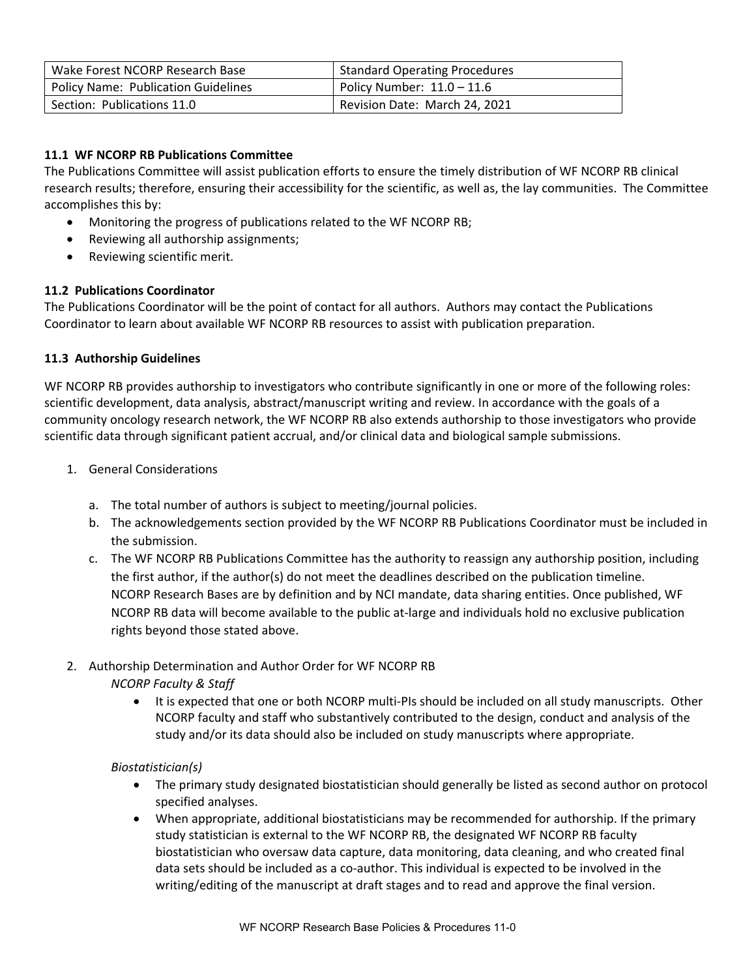| Wake Forest NCORP Research Base            | <b>Standard Operating Procedures</b> |
|--------------------------------------------|--------------------------------------|
| <b>Policy Name: Publication Guidelines</b> | Policy Number: $11.0 - 11.6$         |
| Section: Publications 11.0                 | Revision Date: March 24, 2021        |

## **11.1 WF NCORP RB Publications Committee**

The Publications Committee will assist publication efforts to ensure the timely distribution of WF NCORP RB clinical research results; therefore, ensuring their accessibility for the scientific, as well as, the lay communities. The Committee accomplishes this by:

- Monitoring the progress of publications related to the WF NCORP RB;
- Reviewing all authorship assignments;
- Reviewing scientific merit.

## **11.2 Publications Coordinator**

The Publications Coordinator will be the point of contact for all authors. Authors may contact the Publications Coordinator to learn about available WF NCORP RB resources to assist with publication preparation.

## **11.3 Authorship Guidelines**

WF NCORP RB provides authorship to investigators who contribute significantly in one or more of the following roles: scientific development, data analysis, abstract/manuscript writing and review. In accordance with the goals of a community oncology research network, the WF NCORP RB also extends authorship to those investigators who provide scientific data through significant patient accrual, and/or clinical data and biological sample submissions.

- 1. General Considerations
	- a. The total number of authors is subject to meeting/journal policies.
	- b. The acknowledgements section provided by the WF NCORP RB Publications Coordinator must be included in the submission.
	- c. The WF NCORP RB Publications Committee has the authority to reassign any authorship position, including the first author, if the author(s) do not meet the deadlines described on the publication timeline. NCORP Research Bases are by definition and by NCI mandate, data sharing entities. Once published, WF NCORP RB data will become available to the public at‐large and individuals hold no exclusive publication rights beyond those stated above.
- 2. Authorship Determination and Author Order for WF NCORP RB *NCORP Faculty & Staff* 
	- It is expected that one or both NCORP multi-PIs should be included on all study manuscripts. Other NCORP faculty and staff who substantively contributed to the design, conduct and analysis of the study and/or its data should also be included on study manuscripts where appropriate.

## *Biostatistician(s)*

- The primary study designated biostatistician should generally be listed as second author on protocol specified analyses.
- When appropriate, additional biostatisticians may be recommended for authorship. If the primary study statistician is external to the WF NCORP RB, the designated WF NCORP RB faculty biostatistician who oversaw data capture, data monitoring, data cleaning, and who created final data sets should be included as a co‐author. This individual is expected to be involved in the writing/editing of the manuscript at draft stages and to read and approve the final version.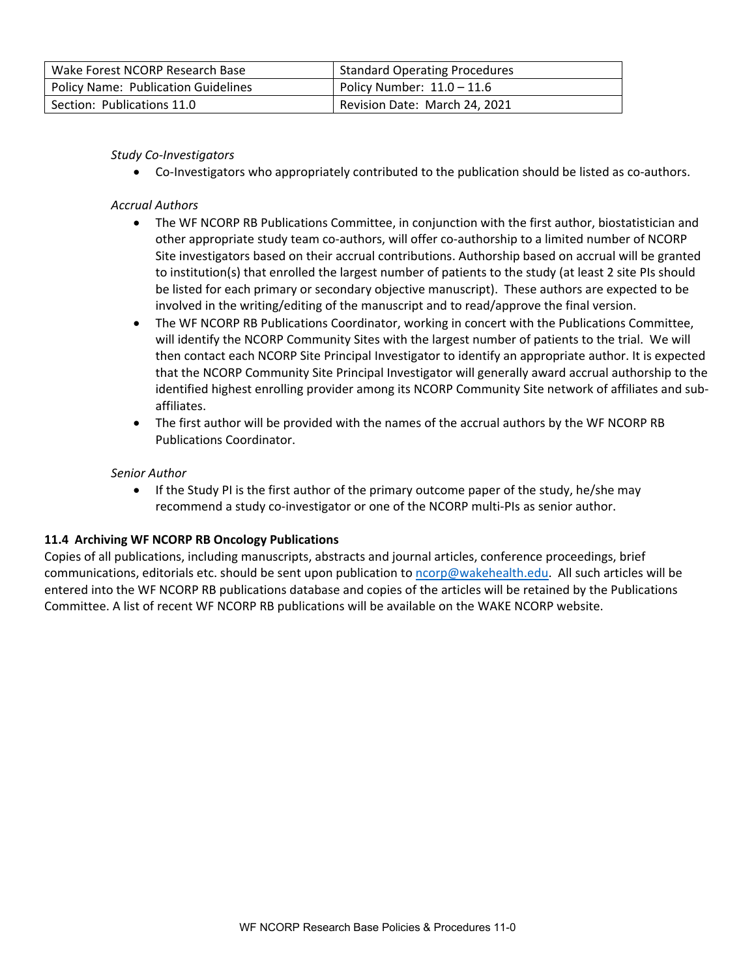| Wake Forest NCORP Research Base            | <b>Standard Operating Procedures</b> |
|--------------------------------------------|--------------------------------------|
| <b>Policy Name: Publication Guidelines</b> | Policy Number: $11.0 - 11.6$         |
| Section: Publications 11.0                 | Revision Date: March 24, 2021        |

## *Study Co‐Investigators*

● Co-Investigators who appropriately contributed to the publication should be listed as co-authors.

#### *Accrual Authors*

- The WF NCORP RB Publications Committee, in conjunction with the first author, biostatistician and other appropriate study team co‐authors, will offer co‐authorship to a limited number of NCORP Site investigators based on their accrual contributions. Authorship based on accrual will be granted to institution(s) that enrolled the largest number of patients to the study (at least 2 site PIs should be listed for each primary or secondary objective manuscript). These authors are expected to be involved in the writing/editing of the manuscript and to read/approve the final version.
- The WF NCORP RB Publications Coordinator, working in concert with the Publications Committee, will identify the NCORP Community Sites with the largest number of patients to the trial. We will then contact each NCORP Site Principal Investigator to identify an appropriate author. It is expected that the NCORP Community Site Principal Investigator will generally award accrual authorship to the identified highest enrolling provider among its NCORP Community Site network of affiliates and sub‐ affiliates.
- The first author will be provided with the names of the accrual authors by the WF NCORP RB Publications Coordinator.

#### *Senior Author*

• If the Study PI is the first author of the primary outcome paper of the study, he/she may recommend a study co-investigator or one of the NCORP multi-PIs as senior author.

## **11.4 Archiving WF NCORP RB Oncology Publications**

Copies of all publications, including manuscripts, abstracts and journal articles, conference proceedings, brief communications, editorials etc. should be sent upon publication to ncorp@wakehealth.edu. All such articles will be entered into the WF NCORP RB publications database and copies of the articles will be retained by the Publications Committee. A list of recent WF NCORP RB publications will be available on the WAKE NCORP website.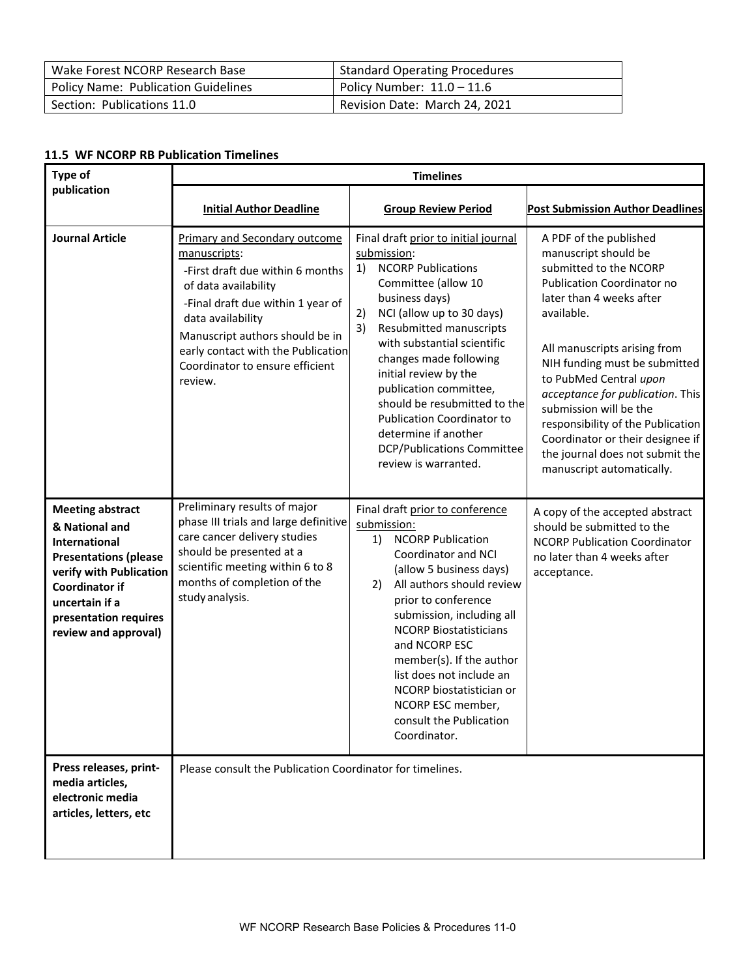| Wake Forest NCORP Research Base            | <b>Standard Operating Procedures</b> |
|--------------------------------------------|--------------------------------------|
| <b>Policy Name: Publication Guidelines</b> | Policy Number: $11.0 - 11.6$         |
| Section: Publications 11.0                 | Revision Date: March 24, 2021        |

#### **11.5 WF NCORP RB Publication Timelines**

| Type of                                                                                                                                                                                                                  | <b>Timelines</b>                                                                                                                                                                                                                                                                                  |                                                                                                                                                                                                                                                                                                                                                                                                                                                                           |                                                                                                                                                                                                                                                                                                                                                                                                                                                           |
|--------------------------------------------------------------------------------------------------------------------------------------------------------------------------------------------------------------------------|---------------------------------------------------------------------------------------------------------------------------------------------------------------------------------------------------------------------------------------------------------------------------------------------------|---------------------------------------------------------------------------------------------------------------------------------------------------------------------------------------------------------------------------------------------------------------------------------------------------------------------------------------------------------------------------------------------------------------------------------------------------------------------------|-----------------------------------------------------------------------------------------------------------------------------------------------------------------------------------------------------------------------------------------------------------------------------------------------------------------------------------------------------------------------------------------------------------------------------------------------------------|
| publication                                                                                                                                                                                                              | <b>Initial Author Deadline</b>                                                                                                                                                                                                                                                                    | <b>Group Review Period</b>                                                                                                                                                                                                                                                                                                                                                                                                                                                | <b>Post Submission Author Deadlines</b>                                                                                                                                                                                                                                                                                                                                                                                                                   |
| <b>Journal Article</b>                                                                                                                                                                                                   | <b>Primary and Secondary outcome</b><br>manuscripts:<br>-First draft due within 6 months<br>of data availability<br>-Final draft due within 1 year of<br>data availability<br>Manuscript authors should be in<br>early contact with the Publication<br>Coordinator to ensure efficient<br>review. | Final draft prior to initial journal<br>submission:<br><b>NCORP Publications</b><br>1)<br>Committee (allow 10<br>business days)<br>2)<br>NCI (allow up to 30 days)<br>3)<br>Resubmitted manuscripts<br>with substantial scientific<br>changes made following<br>initial review by the<br>publication committee,<br>should be resubmitted to the<br><b>Publication Coordinator to</b><br>determine if another<br><b>DCP/Publications Committee</b><br>review is warranted. | A PDF of the published<br>manuscript should be<br>submitted to the NCORP<br><b>Publication Coordinator no</b><br>later than 4 weeks after<br>available.<br>All manuscripts arising from<br>NIH funding must be submitted<br>to PubMed Central upon<br>acceptance for publication. This<br>submission will be the<br>responsibility of the Publication<br>Coordinator or their designee if<br>the journal does not submit the<br>manuscript automatically. |
| <b>Meeting abstract</b><br>& National and<br><b>International</b><br><b>Presentations (please</b><br>verify with Publication<br><b>Coordinator if</b><br>uncertain if a<br>presentation requires<br>review and approval) | Preliminary results of major<br>phase III trials and large definitive<br>care cancer delivery studies<br>should be presented at a<br>scientific meeting within 6 to 8<br>months of completion of the<br>study analysis.                                                                           | Final draft prior to conference<br>submission:<br><b>NCORP Publication</b><br>1)<br>Coordinator and NCI<br>(allow 5 business days)<br>All authors should review<br>2)<br>prior to conference<br>submission, including all<br><b>NCORP Biostatisticians</b><br>and NCORP ESC<br>member(s). If the author<br>list does not include an<br>NCORP biostatistician or<br>NCORP ESC member,<br>consult the Publication<br>Coordinator.                                           | A copy of the accepted abstract<br>should be submitted to the<br><b>NCORP Publication Coordinator</b><br>no later than 4 weeks after<br>acceptance.                                                                                                                                                                                                                                                                                                       |
| Press releases, print-<br>media articles,<br>electronic media<br>articles, letters, etc                                                                                                                                  | Please consult the Publication Coordinator for timelines.                                                                                                                                                                                                                                         |                                                                                                                                                                                                                                                                                                                                                                                                                                                                           |                                                                                                                                                                                                                                                                                                                                                                                                                                                           |